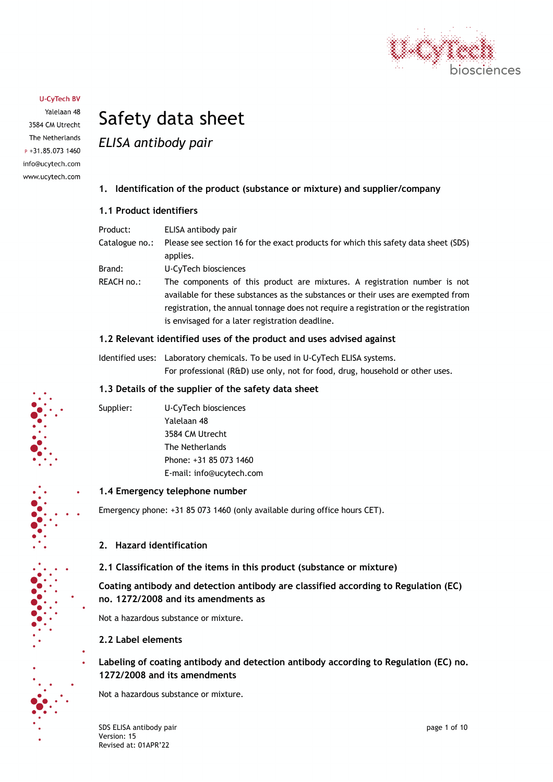

Yalelaan 48 3584 CM Utrecht The Netherlands P +31.85.073 1460 info@ucytech.com www.ucytech.com

# Safety data sheet

*ELISA antibody pair*

# **1. Identification of the product (substance or mixture) and supplier/company**

# **1.1 Product identifiers**

| Product:       | ELISA antibody pair                                                                                                                                                                                                                                                                                      |
|----------------|----------------------------------------------------------------------------------------------------------------------------------------------------------------------------------------------------------------------------------------------------------------------------------------------------------|
| Catalogue no.: | Please see section 16 for the exact products for which this safety data sheet (SDS)<br>applies.                                                                                                                                                                                                          |
|                |                                                                                                                                                                                                                                                                                                          |
| Brand:         | U-CyTech biosciences                                                                                                                                                                                                                                                                                     |
| REACH no.:     | The components of this product are mixtures. A registration number is not<br>available for these substances as the substances or their uses are exempted from<br>registration, the annual tonnage does not require a registration or the registration<br>is envisaged for a later registration deadline. |

# **1.2 Relevant identified uses of the product and uses advised against**

Identified uses: Laboratory chemicals. To be used in U-CyTech ELISA systems. For professional (R&D) use only, not for food, drug, household or other uses.

# **1.3 Details of the supplier of the safety data sheet**

Supplier: U-CyTech biosciences Yalelaan 48 3584 CM Utrecht The Netherlands Phone: +31 85 073 1460 E-mail: info@ucytech.com

# **1.4 Emergency telephone number**

Emergency phone: +31 85 073 1460 (only available during office hours CET).

# **2. Hazard identification**

**2.1 Classification of the items in this product (substance or mixture)**

**Coating antibody and detection antibody are classified according to Regulation (EC) no. 1272/2008 and its amendments as**

Not a hazardous substance or mixture.

# **2.2 Label elements**

**Labeling of coating antibody and detection antibody according to Regulation (EC) no. 1272/2008 and its amendments**

Not a hazardous substance or mixture.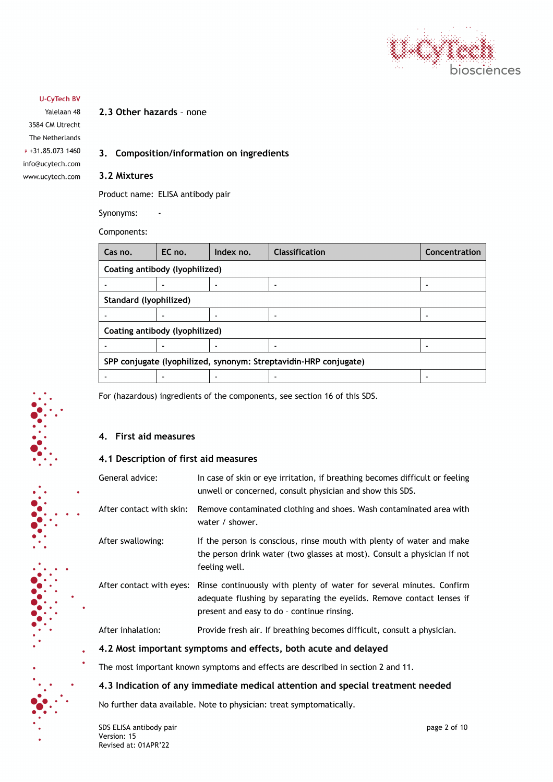

Yalelaan 48 3584 CM Utrecht The Netherlands P +31.85.073 1460 info@ucytech.com www.ucytech.com

# **2.3 Other hazards** – none

# **3. Composition/information on ingredients**

#### **3.2 Mixtures**

Product name: ELISA antibody pair

Synonyms: -

Components:

| SPP conjugate (lyophilized, synonym: Streptavidin-HRP conjugate) |  |  |  |
|------------------------------------------------------------------|--|--|--|
|                                                                  |  |  |  |
|                                                                  |  |  |  |

For (hazardous) ingredients of the components, see section 16 of this SDS.

# **4. First aid measures**

# **4.1 Description of first aid measures**

| General advice:          | In case of skin or eye irritation, if breathing becomes difficult or feeling<br>unwell or concerned, consult physician and show this SDS.                                                   |
|--------------------------|---------------------------------------------------------------------------------------------------------------------------------------------------------------------------------------------|
| After contact with skin: | Remove contaminated clothing and shoes. Wash contaminated area with<br>water / shower.                                                                                                      |
| After swallowing:        | If the person is conscious, rinse mouth with plenty of water and make<br>the person drink water (two glasses at most). Consult a physician if not<br>feeling well.                          |
| After contact with eyes: | Rinse continuously with plenty of water for several minutes. Confirm<br>adequate flushing by separating the eyelids. Remove contact lenses if<br>present and easy to do - continue rinsing. |
| After inhalation:        | Provide fresh air. If breathing becomes difficult, consult a physician.                                                                                                                     |
|                          | 4.2 Most important symptoms and effects, both acute and delayed                                                                                                                             |

The most important known symptoms and effects are described in section 2 and 11.

# **4.3 Indication of any immediate medical attention and special treatment needed**

No further data available. Note to physician: treat symptomatically.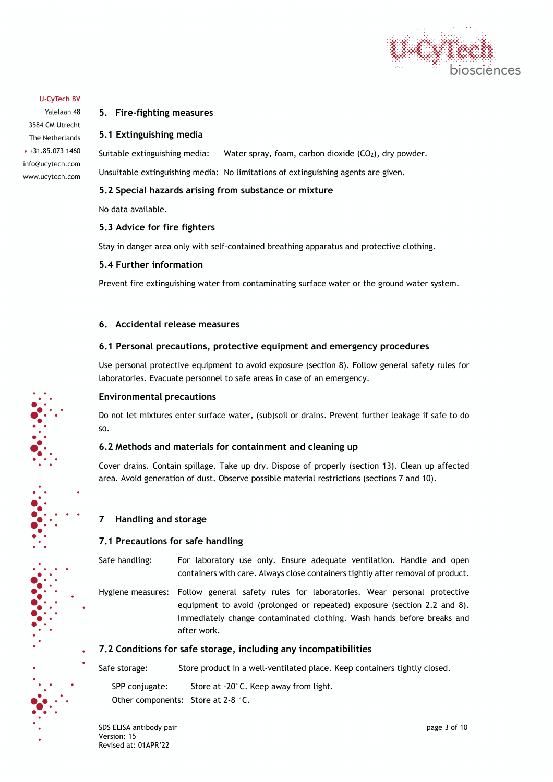

Yalelaan 48 3584 CM Utrecht The Netherlands P +31.85.073 1460 info@ucytech.com www.ucytech.com

# **5. Fire-fighting measures**

# **5.1 Extinguishing media**

Suitable extinguishing media: Water spray, foam, carbon dioxide  $(CO<sub>2</sub>)$ , dry powder.

Unsuitable extinguishing media: No limitations of extinguishing agents are given.

# **5.2 Special hazards arising from substance or mixture**

No data available.

# **5.3 Advice for fire fighters**

Stay in danger area only with self-contained breathing apparatus and protective clothing.

#### **5.4 Further information**

Prevent fire extinguishing water from contaminating surface water or the ground water system.

# **6. Accidental release measures**

#### **6.1 Personal precautions, protective equipment and emergency procedures**

Use personal protective equipment to avoid exposure (section 8). Follow general safety rules for laboratories. Evacuate personnel to safe areas in case of an emergency.

#### **Environmental precautions**

Do not let mixtures enter surface water, (sub)soil or drains. Prevent further leakage if safe to do so.

# **6.2 Methods and materials for containment and cleaning up**

Cover drains. Contain spillage. Take up dry. Dispose of properly (section 13). Clean up affected area. Avoid generation of dust. Observe possible material restrictions (sections 7 and 10).

# **7 Handling and storage**

# **7.1 Precautions for safe handling**

Safe handling: For laboratory use only. Ensure adequate ventilation. Handle and open containers with care. Always close containers tightly after removal of product.

Hygiene measures: Follow general safety rules for laboratories. Wear personal protective equipment to avoid (prolonged or repeated) exposure (section 2.2 and 8). Immediately change contaminated clothing. Wash hands before breaks and after work.

# **7.2 Conditions for safe storage, including any incompatibilities**

Safe storage: Store product in a well-ventilated place. Keep containers tightly closed.

SPP conjugate: Store at -20°C. Keep away from light. Other components: Store at 2-8 °C.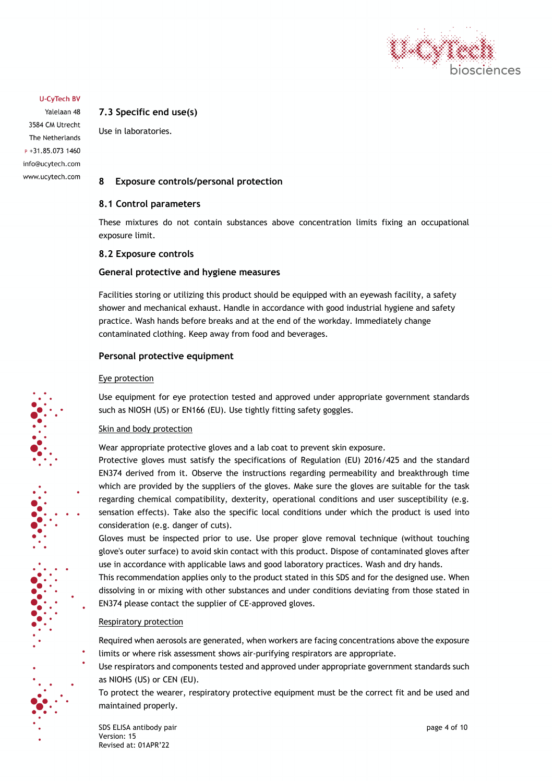

Yalelaan 48 3584 CM Utrecht The Netherlands P +31.85.073 1460 info@ucytech.com www.ucytech.com

# **7.3 Specific end use(s)**

Use in laboratories.

# **8 Exposure controls/personal protection**

# **8.1 Control parameters**

These mixtures do not contain substances above concentration limits fixing an occupational exposure limit.

#### **8.2 Exposure controls**

#### **General protective and hygiene measures**

Facilities storing or utilizing this product should be equipped with an eyewash facility, a safety shower and mechanical exhaust. Handle in accordance with good industrial hygiene and safety practice. Wash hands before breaks and at the end of the workday. Immediately change contaminated clothing. Keep away from food and beverages.

#### **Personal protective equipment**

#### Eye protection

Use equipment for eye protection tested and approved under appropriate government standards such as NIOSH (US) or EN166 (EU). Use tightly fitting safety goggles.

#### Skin and body protection

Wear appropriate protective gloves and a lab coat to prevent skin exposure.

Protective gloves must satisfy the specifications of Regulation (EU) 2016/425 and the standard EN374 derived from it. Observe the instructions regarding permeability and breakthrough time which are provided by the suppliers of the gloves. Make sure the gloves are suitable for the task regarding chemical compatibility, dexterity, operational conditions and user susceptibility (e.g. sensation effects). Take also the specific local conditions under which the product is used into consideration (e.g. danger of cuts).

Gloves must be inspected prior to use. Use proper glove removal technique (without touching glove's outer surface) to avoid skin contact with this product. Dispose of contaminated gloves after use in accordance with applicable laws and good laboratory practices. Wash and dry hands.

This recommendation applies only to the product stated in this SDS and for the designed use. When dissolving in or mixing with other substances and under conditions deviating from those stated in EN374 please contact the supplier of CE-approved gloves.

#### Respiratory protection

Required when aerosols are generated, when workers are facing concentrations above the exposure limits or where risk assessment shows air-purifying respirators are appropriate.

Use respirators and components tested and approved under appropriate government standards such as NIOHS (US) or CEN (EU).

To protect the wearer, respiratory protective equipment must be the correct fit and be used and maintained properly.

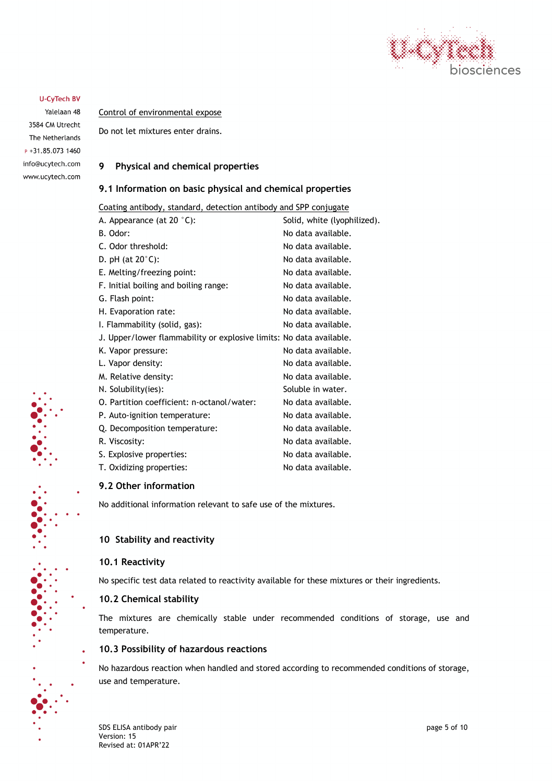

Yalelaan 48 3584 CM Utrecht The Netherlands P +31.85.073 1460 info@ucytech.com www.ucytech.com

Control of environmental expose

Do not let mixtures enter drains.

# **9 Physical and chemical properties**

# **9.1 Information on basic physical and chemical properties**

Coating antibody, standard, detection antibody and SPP conjugate

| A. Appearance (at 20 °C):                                           | Solid, white (lyophilized). |
|---------------------------------------------------------------------|-----------------------------|
| B. Odor:                                                            | No data available.          |
| C. Odor threshold:                                                  | No data available.          |
| D. pH (at $20^{\circ}$ C):                                          | No data available.          |
| E. Melting/freezing point:                                          | No data available.          |
| F. Initial boiling and boiling range:                               | No data available.          |
| G. Flash point:                                                     | No data available.          |
| H. Evaporation rate:                                                | No data available.          |
| I. Flammability (solid, gas):                                       | No data available.          |
| J. Upper/lower flammability or explosive limits: No data available. |                             |
| K. Vapor pressure:                                                  | No data available.          |
| L. Vapor density:                                                   | No data available.          |
| M. Relative density:                                                | No data available.          |
| N. Solubility(ies):                                                 | Soluble in water.           |
| O. Partition coefficient: n-octanol/water:                          | No data available.          |
| P. Auto-ignition temperature:                                       | No data available.          |
| Q. Decomposition temperature:                                       | No data available.          |
| R. Viscosity:                                                       | No data available.          |
| S. Explosive properties:                                            | No data available.          |
| T. Oxidizing properties:                                            | No data available.          |

# **9.2 Other information**

No additional information relevant to safe use of the mixtures.

# **10 Stability and reactivity**

#### **10.1 Reactivity**

No specific test data related to reactivity available for these mixtures or their ingredients.

#### **10.2 Chemical stability**

The mixtures are chemically stable under recommended conditions of storage, use and temperature.

#### **10.3 Possibility of hazardous reactions**

No hazardous reaction when handled and stored according to recommended conditions of storage, use and temperature.

SDS ELISA antibody pair **page 5 of 10** and the state of the state of the state of the state of the state of the state of the state of the state of the state of the state of the state of the state of the state of the state Version: 15 Revised at: 01APR'22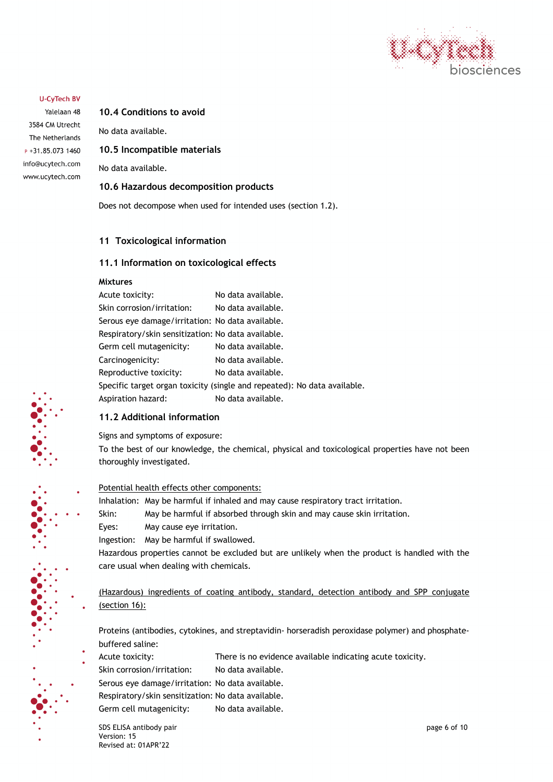

Yalelaan 48 3584 CM Utrecht The Netherlands P +31.85.073 1460 info@ucytech.com www.ucytech.com **10.4 Conditions to avoid** 

No data available.

**10.5 Incompatible materials** 

No data available.

# **10.6 Hazardous decomposition products**

Does not decompose when used for intended uses (section 1.2).

# **11 Toxicological information**

# **11.1 Information on toxicological effects**

#### **Mixtures**

| Acute toxicity:                                    | No data available.                                                       |
|----------------------------------------------------|--------------------------------------------------------------------------|
| Skin corrosion/irritation:                         | No data available.                                                       |
| Serous eye damage/irritation: No data available.   |                                                                          |
| Respiratory/skin sensitization: No data available. |                                                                          |
| Germ cell mutagenicity:                            | No data available.                                                       |
| Carcinogenicity:                                   | No data available.                                                       |
| Reproductive toxicity:                             | No data available.                                                       |
|                                                    | Specific target organ toxicity (single and repeated): No data available. |
| Aspiration hazard:                                 | No data available.                                                       |
|                                                    |                                                                          |

# **11.2 Additional information**

Signs and symptoms of exposure:

To the best of our knowledge, the chemical, physical and toxicological properties have not been thoroughly investigated.

#### Potential health effects other components:

Inhalation: May be harmful if inhaled and may cause respiratory tract irritation.

Skin: May be harmful if absorbed through skin and may cause skin irritation.

Eyes: May cause eye irritation.

Ingestion: May be harmful if swallowed.

Hazardous properties cannot be excluded but are unlikely when the product is handled with the care usual when dealing with chemicals.

(Hazardous) ingredients of coating antibody, standard, detection antibody and SPP conjugate (section 16):

Proteins (antibodies, cytokines, and streptavidin- horseradish peroxidase polymer) and phosphatebuffered saline:

- Acute toxicity: There is no evidence available indicating acute toxicity.
	- Skin corrosion/irritation: No data available.

Serous eye damage/irritation: No data available.

Respiratory/skin sensitization: No data available. Germ cell mutagenicity: No data available.

SDS ELISA antibody pair and the state of the state of the state of the state of the state of the state of the state of the state of the state of the state of the state of the state of the state of the state of the state of Version: 15 Revised at: 01APR'22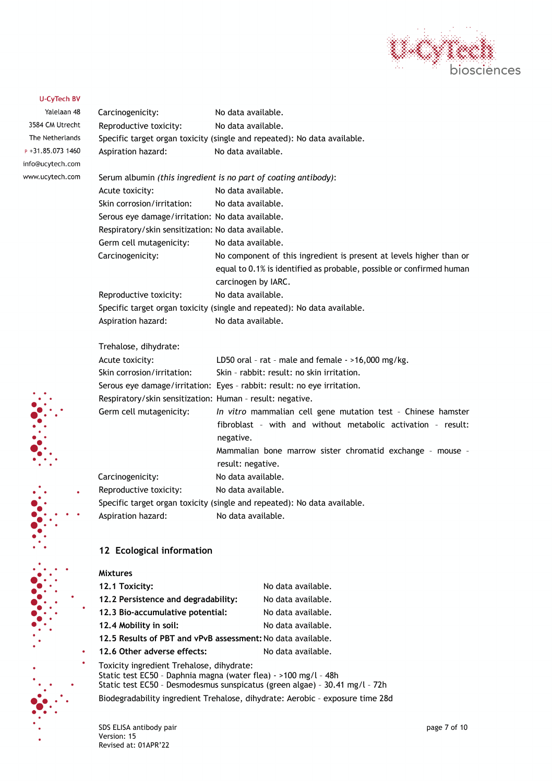

Yalelaan 48 3584 CM Utrecht The Netherlands  $P + 31.85.0731460$ info@ucytech.com www.ucytech.com

| Carcinogenicity:                                          | No data available.                                                                                                                                                                                     |
|-----------------------------------------------------------|--------------------------------------------------------------------------------------------------------------------------------------------------------------------------------------------------------|
| Reproductive toxicity:                                    | No data available.                                                                                                                                                                                     |
|                                                           | Specific target organ toxicity (single and repeated): No data available.                                                                                                                               |
| Aspiration hazard:                                        | No data available.                                                                                                                                                                                     |
|                                                           | Serum albumin (this ingredient is no part of coating antibody):                                                                                                                                        |
| Acute toxicity:                                           | No data available.                                                                                                                                                                                     |
| Skin corrosion/irritation:                                | No data available.                                                                                                                                                                                     |
| Serous eye damage/irritation: No data available.          |                                                                                                                                                                                                        |
| Respiratory/skin sensitization: No data available.        |                                                                                                                                                                                                        |
| Germ cell mutagenicity:                                   | No data available.                                                                                                                                                                                     |
| Carcinogenicity:                                          | No component of this ingredient is present at levels higher than or<br>equal to 0.1% is identified as probable, possible or confirmed human<br>carcinogen by IARC.                                     |
| Reproductive toxicity:                                    | No data available.                                                                                                                                                                                     |
|                                                           | Specific target organ toxicity (single and repeated): No data available.                                                                                                                               |
| Aspiration hazard:                                        | No data available.                                                                                                                                                                                     |
| Trehalose, dihydrate:                                     |                                                                                                                                                                                                        |
| Acute toxicity:                                           | LD50 oral - rat - male and female - >16,000 mg/kg.                                                                                                                                                     |
| Skin corrosion/irritation:                                | Skin - rabbit: result: no skin irritation.                                                                                                                                                             |
|                                                           | Serous eye damage/irritation: Eyes - rabbit: result: no eye irritation.                                                                                                                                |
| Respiratory/skin sensitization: Human - result: negative. |                                                                                                                                                                                                        |
| Germ cell mutagenicity:                                   | In vitro mammalian cell gene mutation test - Chinese hamster<br>fibroblast - with and without metabolic activation - result:<br>negative.<br>Mammalian bone marrow sister chromatid exchange - mouse - |
|                                                           | result: negative.                                                                                                                                                                                      |
| Carcinogenicity:                                          | No data available.                                                                                                                                                                                     |
| Reproductive toxicity:                                    | No data available.                                                                                                                                                                                     |
|                                                           | Specific target organ toxicity (single and repeated): No data available.                                                                                                                               |
| Aspiration hazard:                                        | No data available.                                                                                                                                                                                     |

# **12 Ecological information**

| <b>Mixtures</b>                                                                                                                                                                                                                                                              |                    |
|------------------------------------------------------------------------------------------------------------------------------------------------------------------------------------------------------------------------------------------------------------------------------|--------------------|
| 12.1 Toxicity:                                                                                                                                                                                                                                                               | No data available. |
| 12.2 Persistence and degradability:                                                                                                                                                                                                                                          | No data available. |
| 12.3 Bio-accumulative potential:                                                                                                                                                                                                                                             | No data available. |
| 12.4 Mobility in soil:                                                                                                                                                                                                                                                       | No data available. |
| 12.5 Results of PBT and vPvB assessment: No data available.                                                                                                                                                                                                                  |                    |
| 12.6 Other adverse effects:                                                                                                                                                                                                                                                  | No data available. |
| Toxicity ingredient Trehalose, dihydrate:<br>Static test EC50 - Daphnia magna (water flea) - >100 mg/l - 48h<br>Static test EC50 - Desmodesmus sunspicatus (green algae) - 30.41 mg/l - 72h<br>Biodegradability ingredient Trehalose, dihydrate: Aerobic - exposure time 28d |                    |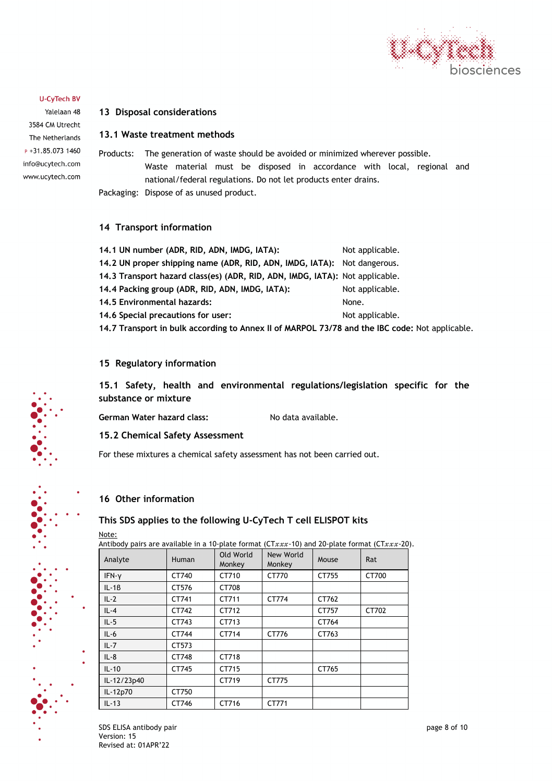

Yalelaan 48 3584 CM Utrecht The Netherlands P +31.85.073 1460 info@ucytech.com www.ucytech.com

# **13 Disposal considerations**

# **13.1 Waste treatment methods**

Products: The generation of waste should be avoided or minimized wherever possible. Waste material must be disposed in accordance with local, regional and national/federal regulations. Do not let products enter drains. Packaging: Dispose of as unused product.

# **14 Transport information**

| 14.1 UN number (ADR, RID, ADN, IMDG, IATA):                                                    | Not applicable. |
|------------------------------------------------------------------------------------------------|-----------------|
| 14.2 UN proper shipping name (ADR, RID, ADN, IMDG, IATA): Not dangerous.                       |                 |
| 14.3 Transport hazard class(es) (ADR, RID, ADN, IMDG, IATA): Not applicable.                   |                 |
| 14.4 Packing group (ADR, RID, ADN, IMDG, IATA):                                                | Not applicable. |
| 14.5 Environmental hazards:                                                                    | None.           |
| 14.6 Special precautions for user:                                                             | Not applicable. |
| 14.7 Transport in bulk according to Annex II of MARPOL 73/78 and the IBC code: Not applicable. |                 |

# **15 Regulatory information**

**15.1 Safety, health and environmental regulations/legislation specific for the substance or mixture**

German Water hazard class: No data available.

#### **15.2 Chemical Safety Assessment**

For these mixtures a chemical safety assessment has not been carried out.

# **16 Other information**

# **This SDS applies to the following U-CyTech T cell ELISPOT kits**

Note:

Antibody pairs are available in a 10-plate format (CTxxx-10) and 20-plate format (CTxxx-20).

| Analyte     | Human | Old World<br>Monkey | New World<br>Monkey | Mouse | Rat   |
|-------------|-------|---------------------|---------------------|-------|-------|
| IFN-y       | CT740 | CT710               | CT770               | CT755 | CT700 |
| $IL - 1B$   | CT576 | CT708               |                     |       |       |
| $IL-2$      | CT741 | CT711               | CT774               | CT762 |       |
| $IL - 4$    | CT742 | CT712               |                     | CT757 | CT702 |
| $IL - 5$    | CT743 | CT713               |                     | CT764 |       |
| $IL-6$      | CT744 | CT714               | CT776               | CT763 |       |
| $IL - 7$    | CT573 |                     |                     |       |       |
| $IL - 8$    | CT748 | CT718               |                     |       |       |
| $IL-10$     | CT745 | CT715               |                     | CT765 |       |
| IL-12/23p40 |       | CT719               | CT775               |       |       |
| IL-12p70    | CT750 |                     |                     |       |       |
| $IL-13$     | CT746 | CT716               | CT771               |       |       |

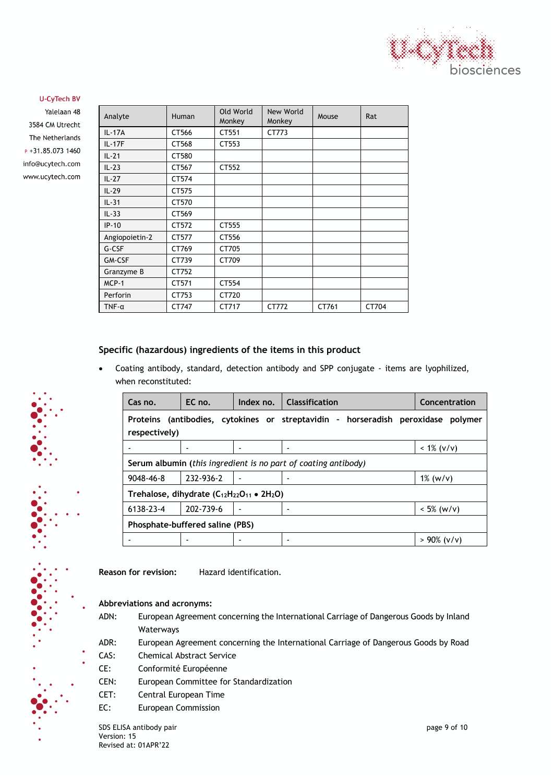

Yalelaan 48 3584 CM Utrecht The Netherlands P +31.85.073 1460 info@ucytech.com www.ucytech.com

| Analyte        | Human | Old World<br>Monkey | New World<br>Monkey | Mouse | Rat   |
|----------------|-------|---------------------|---------------------|-------|-------|
| IL-17A         | CT566 | CT551               | CT773               |       |       |
| IL-17F         | CT568 | CT553               |                     |       |       |
| $IL-21$        | CT580 |                     |                     |       |       |
| $IL-23$        | CT567 | CT552               |                     |       |       |
| $IL-27$        | CT574 |                     |                     |       |       |
| $IL-29$        | CT575 |                     |                     |       |       |
| $IL-31$        | CT570 |                     |                     |       |       |
| $IL-33$        | CT569 |                     |                     |       |       |
| $IP-10$        | CT572 | CT555               |                     |       |       |
| Angiopoietin-2 | CT577 | CT556               |                     |       |       |
| G-CSF          | CT769 | CT705               |                     |       |       |
| GM-CSF         | CT739 | CT709               |                     |       |       |
| Granzyme B     | CT752 |                     |                     |       |       |
| $MCP-1$        | CT571 | CT554               |                     |       |       |
| Perforin       | CT753 | CT720               |                     |       |       |
| $TNF - \alpha$ | CT747 | CT717               | CT772               | CT761 | CT704 |

# **Specific (hazardous) ingredients of the items in this product**

• Coating antibody, standard, detection antibody and SPP conjugate - items are lyophilized, when reconstituted:

| Cas no.                                                   | EC no.                          | Index no. | <b>Classification</b>                                                            | Concentration  |  |
|-----------------------------------------------------------|---------------------------------|-----------|----------------------------------------------------------------------------------|----------------|--|
| respectively)                                             |                                 |           | Proteins (antibodies, cytokines or streptavidin - horseradish peroxidase polymer |                |  |
|                                                           |                                 |           |                                                                                  | $< 1\% (v/v)$  |  |
|                                                           |                                 |           | Serum albumin (this ingredient is no part of coating antibody)                   |                |  |
| $9048 - 46 - 8$                                           | 232-936-2                       |           |                                                                                  | $1\%$ (w/v)    |  |
| Trehalose, dihydrate $(C_{12}H_{22}O_{11} \bullet 2H_2O)$ |                                 |           |                                                                                  |                |  |
| 6138-23-4                                                 | 202-739-6                       |           |                                                                                  | $< 5\%$ (w/v)  |  |
|                                                           | Phosphate-buffered saline (PBS) |           |                                                                                  |                |  |
|                                                           |                                 |           |                                                                                  | $> 90\%$ (v/v) |  |

**Reason for revision:** Hazard identification.

#### **Abbreviations and acronyms:**

- ADN: European Agreement concerning the International Carriage of Dangerous Goods by Inland Waterways
- ADR: European Agreement concerning the International Carriage of Dangerous Goods by Road
- CAS: Chemical Abstract Service
- CE: Conformité Européenne
- CEN: European Committee for Standardization
- CET: Central European Time
- EC: European Commission